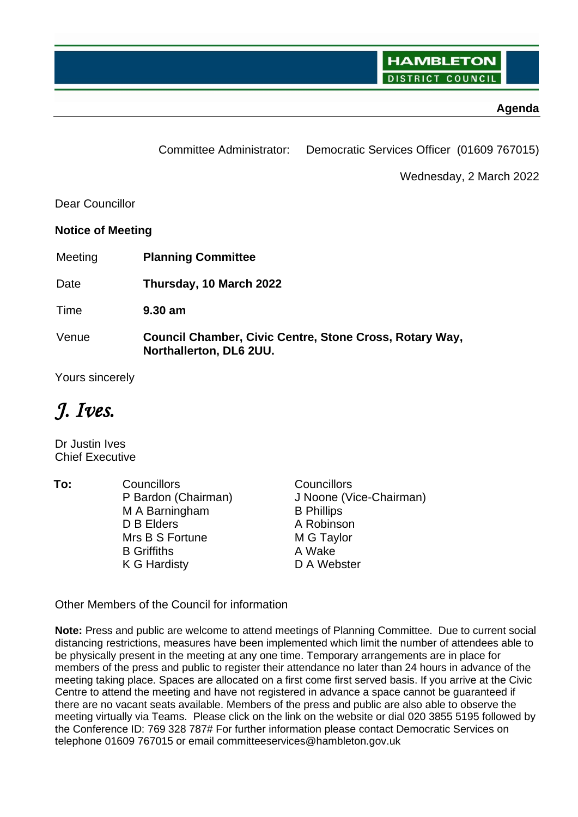**HAMBLETON DISTRICT** COUNCI

## **Agenda**

Committee Administrator: Democratic Services Officer (01609 767015)

Wednesday, 2 March 2022

Dear Councillor

**Notice of Meeting**

Meeting **Planning Committee**

Date **Thursday, 10 March 2022**

Time **9.30 am**

Venue **Council Chamber, Civic Centre, Stone Cross, Rotary Way, Northallerton, DL6 2UU.** 

Yours sincerely

*J. Ives.*

Dr Justin Ives Chief Executive

**To:** Councillors Councillors Councillors P Bardon (Chairman) M A Barningham D B Elders Mrs B S Fortune B Griffiths K G Hardisty

J Noone (Vice-Chairman) B Phillips A Robinson M G Taylor A Wake D A Webster

Other Members of the Council for information

**Note:** Press and public are welcome to attend meetings of Planning Committee. Due to current social distancing restrictions, measures have been implemented which limit the number of attendees able to be physically present in the meeting at any one time. Temporary arrangements are in place for members of the press and public to register their attendance no later than 24 hours in advance of the meeting taking place. Spaces are allocated on a first come first served basis. If you arrive at the Civic Centre to attend the meeting and have not registered in advance a space cannot be guaranteed if there are no vacant seats available. Members of the press and public are also able to observe the meeting virtually via Teams. Please click on the link on the website or dial 020 3855 5195 followed by the Conference ID: 769 328 787# For further information please contact Democratic Services on telephone 01609 767015 or email committeeservices@hambleton.gov.uk